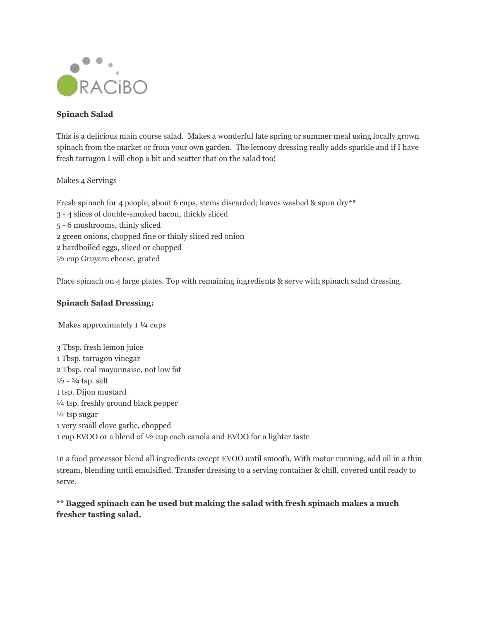

## **Spinach Salad**

This is a delicious main course salad. Makes a wonderful late spring or summer meal using locally grown spinach from the market or from your own garden. The lemony dressing really adds sparkle and if I have fresh tarragon I will chop a bit and scatter that on the salad too!

## Makes 4 Servings

Fresh spinach for 4 people, about 6 cups, stems discarded; leaves washed & spun dry**\*\*** 3 - 4 slices of double-smoked bacon, thickly sliced 5 - 6 mushrooms, thinly sliced 2 green onions, chopped fine or thinly sliced red onion 2 hardboiled eggs, sliced or chopped ½ cup Gruyere cheese, grated

Place spinach on 4 large plates. Top with remaining ingredients & serve with spinach salad dressing.

## **Spinach Salad Dressing:**

Makes approximately 1 ¼ cups

3 Tbsp. fresh lemon juice 1 Tbsp. tarragon vinegar 2 Tbsp. real mayonnaise, not low fat  $\frac{1}{2}$  -  $\frac{3}{4}$  tsp. salt 1 tsp. Dijon mustard ¼ tsp. freshly ground black pepper ¼ tsp sugar 1 very small clove garlic, chopped 1 cup EVOO or a blend of ½ cup each canola and EVOO for a lighter taste

In a food processor blend all ingredients except EVOO until smooth. With motor running, add oil in a thin stream, blending until emulsified. Transfer dressing to a serving container & chill, covered until ready to serve.

## **\*\* Bagged spinach can be used but making the salad with fresh spinach makes a much fresher tasting salad.**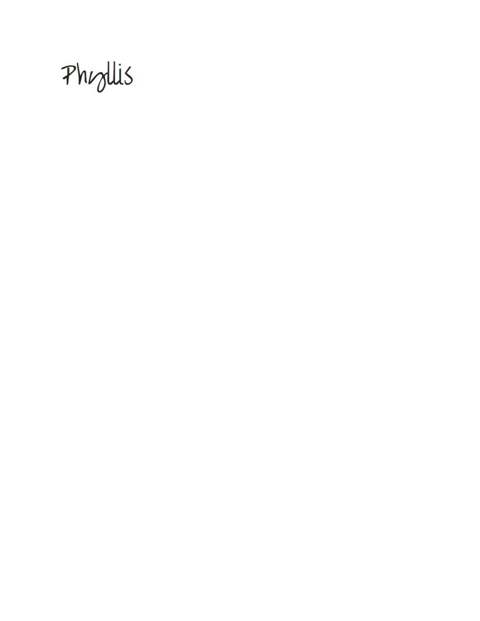